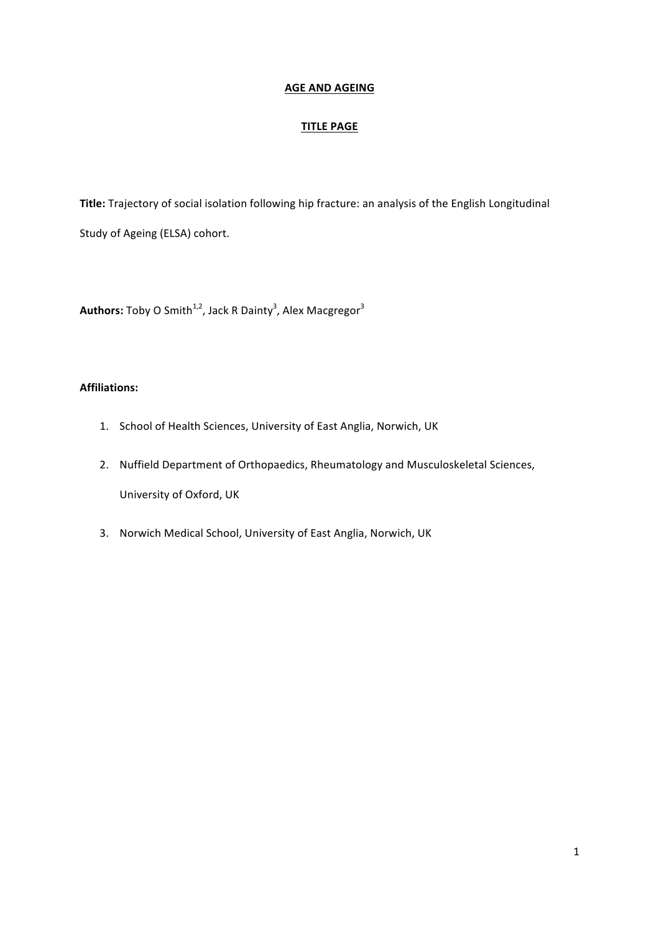# **AGE AND AGEING**

# **TITLE PAGE**

Title: Trajectory of social isolation following hip fracture: an analysis of the English Longitudinal Study of Ageing (ELSA) cohort.

 $\mathsf{Authors}\text{:} \mathsf{Toby}\ \mathsf{O}\ \mathsf{Smith}^{1,2}, \mathsf{Jack}\ \mathsf{R}\ \mathsf{Dainty}^3, \mathsf{Alex}\ \mathsf{Macgregor}^3$ 

# **Affiliations:**

- 1. School of Health Sciences, University of East Anglia, Norwich, UK
- 2. Nuffield Department of Orthopaedics, Rheumatology and Musculoskeletal Sciences, University of Oxford, UK
- 3. Norwich Medical School, University of East Anglia, Norwich, UK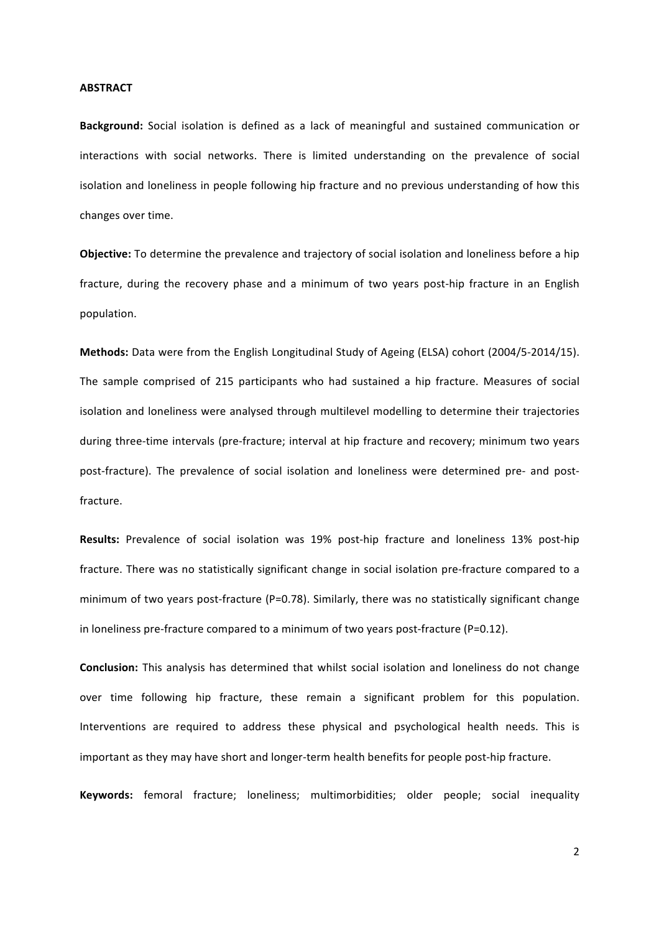## **ABSTRACT**

**Background:** Social isolation is defined as a lack of meaningful and sustained communication or interactions with social networks. There is limited understanding on the prevalence of social isolation and loneliness in people following hip fracture and no previous understanding of how this changes over time.

**Objective:** To determine the prevalence and trajectory of social isolation and loneliness before a hip fracture, during the recovery phase and a minimum of two years post-hip fracture in an English population.

**Methods:** Data were from the English Longitudinal Study of Ageing (ELSA) cohort (2004/5-2014/15). The sample comprised of 215 participants who had sustained a hip fracture. Measures of social isolation and loneliness were analysed through multilevel modelling to determine their trajectories during three-time intervals (pre-fracture; interval at hip fracture and recovery; minimum two years post-fracture). The prevalence of social isolation and loneliness were determined pre- and postfracture. 

**Results:** Prevalence of social isolation was 19% post-hip fracture and loneliness 13% post-hip fracture. There was no statistically significant change in social isolation pre-fracture compared to a minimum of two years post-fracture  $(P=0.78)$ . Similarly, there was no statistically significant change in loneliness pre-fracture compared to a minimum of two years post-fracture  $(P=0.12)$ .

**Conclusion:** This analysis has determined that whilst social isolation and loneliness do not change over time following hip fracture, these remain a significant problem for this population. Interventions are required to address these physical and psychological health needs. This is important as they may have short and longer-term health benefits for people post-hip fracture.

**Keywords:** femoral fracture; loneliness; multimorbidities; older people; social inequality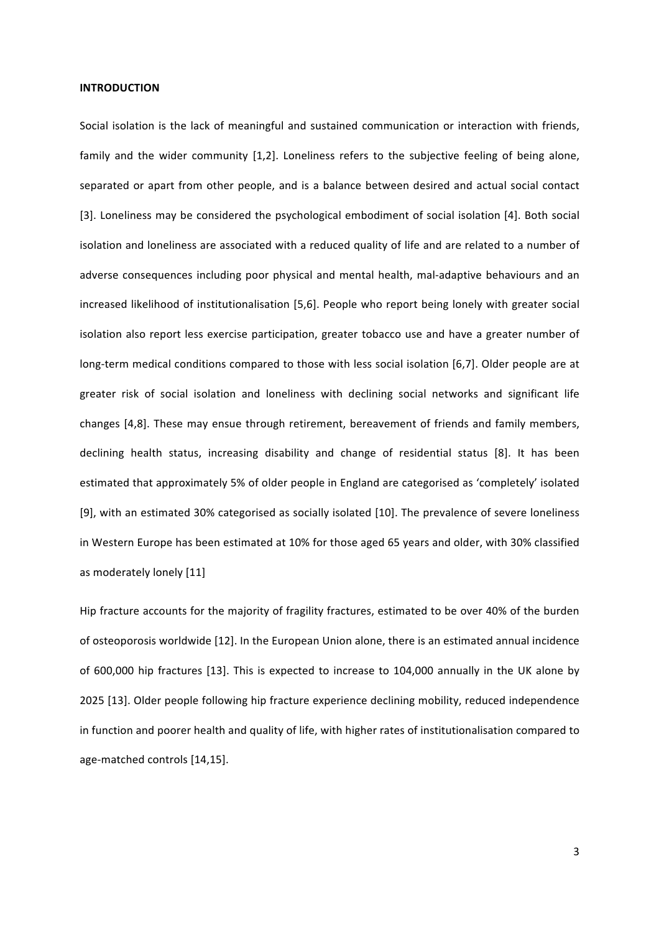# **INTRODUCTION**

Social isolation is the lack of meaningful and sustained communication or interaction with friends, family and the wider community [1,2]. Loneliness refers to the subjective feeling of being alone, separated or apart from other people, and is a balance between desired and actual social contact [3]. Loneliness may be considered the psychological embodiment of social isolation [4]. Both social isolation and loneliness are associated with a reduced quality of life and are related to a number of adverse consequences including poor physical and mental health, mal-adaptive behaviours and an increased likelihood of institutionalisation [5,6]. People who report being lonely with greater social isolation also report less exercise participation, greater tobacco use and have a greater number of long-term medical conditions compared to those with less social isolation [6,7]. Older people are at greater risk of social isolation and loneliness with declining social networks and significant life changes [4,8]. These may ensue through retirement, bereavement of friends and family members, declining health status, increasing disability and change of residential status [8]. It has been estimated that approximately 5% of older people in England are categorised as 'completely' isolated [9], with an estimated 30% categorised as socially isolated [10]. The prevalence of severe loneliness in Western Europe has been estimated at 10% for those aged 65 years and older, with 30% classified as moderately lonely [11]

Hip fracture accounts for the majority of fragility fractures, estimated to be over 40% of the burden of osteoporosis worldwide [12]. In the European Union alone, there is an estimated annual incidence of 600,000 hip fractures [13]. This is expected to increase to 104,000 annually in the UK alone by 2025 [13]. Older people following hip fracture experience declining mobility, reduced independence in function and poorer health and quality of life, with higher rates of institutionalisation compared to age-matched controls [14,15].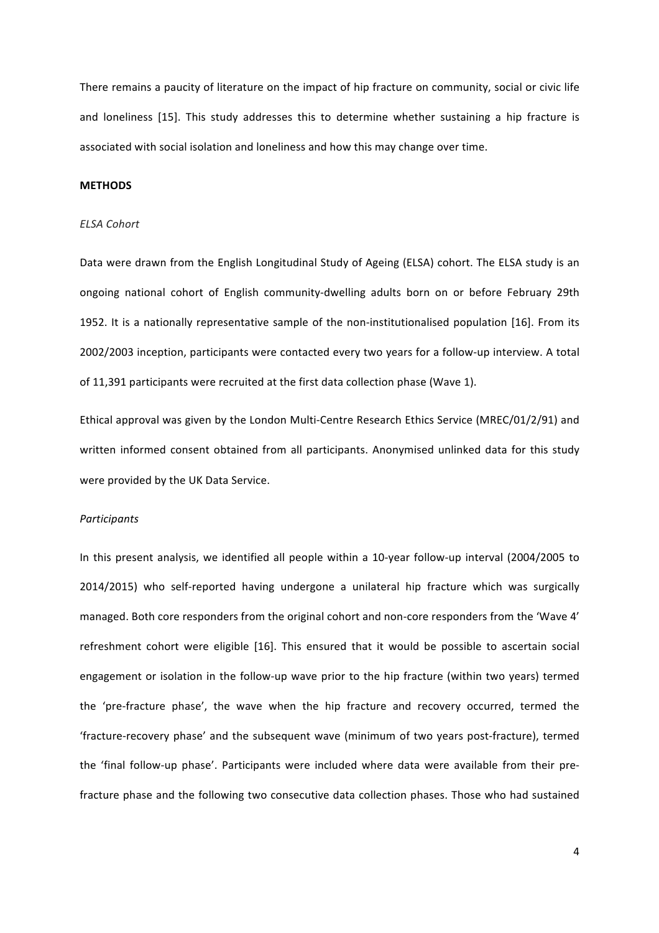There remains a paucity of literature on the impact of hip fracture on community, social or civic life and loneliness [15]. This study addresses this to determine whether sustaining a hip fracture is associated with social isolation and loneliness and how this may change over time.

### **METHODS**

# *ELSA Cohort*

Data were drawn from the English Longitudinal Study of Ageing (ELSA) cohort. The ELSA study is an ongoing national cohort of English community-dwelling adults born on or before February 29th 1952. It is a nationally representative sample of the non-institutionalised population [16]. From its 2002/2003 inception, participants were contacted every two years for a follow-up interview. A total of 11,391 participants were recruited at the first data collection phase (Wave 1).

Ethical approval was given by the London Multi-Centre Research Ethics Service (MREC/01/2/91) and written informed consent obtained from all participants. Anonymised unlinked data for this study were provided by the UK Data Service.

## *Participants*

In this present analysis, we identified all people within a 10-year follow-up interval (2004/2005 to 2014/2015) who self-reported having undergone a unilateral hip fracture which was surgically managed. Both core responders from the original cohort and non-core responders from the 'Wave 4' refreshment cohort were eligible [16]. This ensured that it would be possible to ascertain social engagement or isolation in the follow-up wave prior to the hip fracture (within two years) termed the 'pre-fracture phase', the wave when the hip fracture and recovery occurred, termed the 'fracture-recovery phase' and the subsequent wave (minimum of two years post-fracture), termed the 'final follow-up phase'. Participants were included where data were available from their prefracture phase and the following two consecutive data collection phases. Those who had sustained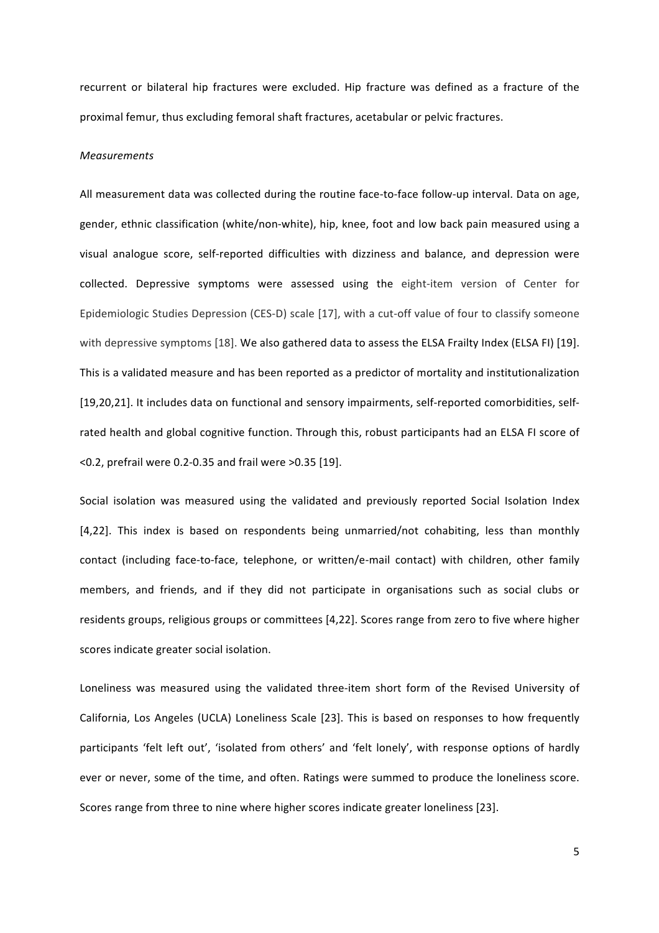recurrent or bilateral hip fractures were excluded. Hip fracture was defined as a fracture of the proximal femur, thus excluding femoral shaft fractures, acetabular or pelvic fractures.

### *Measurements*

All measurement data was collected during the routine face-to-face follow-up interval. Data on age, gender, ethnic classification (white/non-white), hip, knee, foot and low back pain measured using a visual analogue score, self-reported difficulties with dizziness and balance, and depression were collected. Depressive symptoms were assessed using the eight-item version of Center for Epidemiologic Studies Depression (CES-D) scale [17], with a cut-off value of four to classify someone with depressive symptoms [18]. We also gathered data to assess the ELSA Frailty Index (ELSA FI) [19]. This is a validated measure and has been reported as a predictor of mortality and institutionalization [19,20,21]. It includes data on functional and sensory impairments, self-reported comorbidities, selfrated health and global cognitive function. Through this, robust participants had an ELSA FI score of  $<$  0.2, prefrail were 0.2-0.35 and frail were  $>$  0.35 [19].

Social isolation was measured using the validated and previously reported Social Isolation Index [4,22]. This index is based on respondents being unmarried/not cohabiting, less than monthly contact (including face-to-face, telephone, or written/e-mail contact) with children, other family members, and friends, and if they did not participate in organisations such as social clubs or residents groups, religious groups or committees [4,22]. Scores range from zero to five where higher scores indicate greater social isolation.

Loneliness was measured using the validated three-item short form of the Revised University of California, Los Angeles (UCLA) Loneliness Scale [23]. This is based on responses to how frequently participants 'felt left out', 'isolated from others' and 'felt lonely', with response options of hardly ever or never, some of the time, and often. Ratings were summed to produce the loneliness score. Scores range from three to nine where higher scores indicate greater loneliness [23].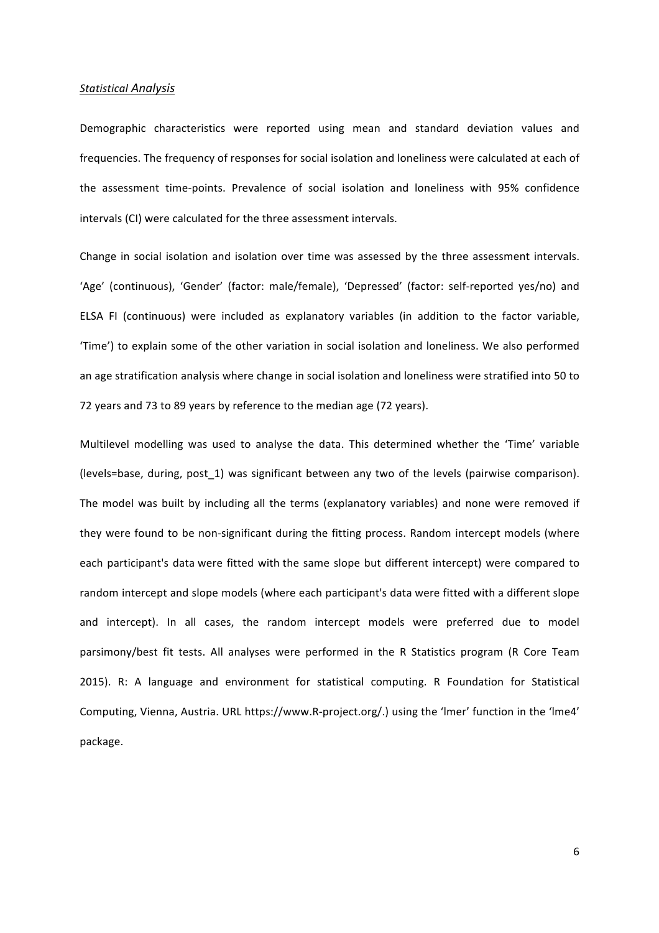## *Statistical Analysis*

Demographic characteristics were reported using mean and standard deviation values and frequencies. The frequency of responses for social isolation and loneliness were calculated at each of the assessment time-points. Prevalence of social isolation and loneliness with 95% confidence intervals (CI) were calculated for the three assessment intervals.

Change in social isolation and isolation over time was assessed by the three assessment intervals. 'Age' (continuous), 'Gender' (factor: male/female), 'Depressed' (factor: self-reported yes/no) and ELSA FI (continuous) were included as explanatory variables (in addition to the factor variable, 'Time') to explain some of the other variation in social isolation and loneliness. We also performed an age stratification analysis where change in social isolation and loneliness were stratified into 50 to 72 years and 73 to 89 years by reference to the median age (72 years).

Multilevel modelling was used to analyse the data. This determined whether the 'Time' variable (levels=base, during, post 1) was significant between any two of the levels (pairwise comparison). The model was built by including all the terms (explanatory variables) and none were removed if they were found to be non-significant during the fitting process. Random intercept models (where each participant's data were fitted with the same slope but different intercept) were compared to random intercept and slope models (where each participant's data were fitted with a different slope and intercept). In all cases, the random intercept models were preferred due to model parsimony/best fit tests. All analyses were performed in the R Statistics program (R Core Team 2015). R: A language and environment for statistical computing. R Foundation for Statistical Computing, Vienna, Austria. URL https://www.R-project.org/.) using the 'lmer' function in the 'lme4' package.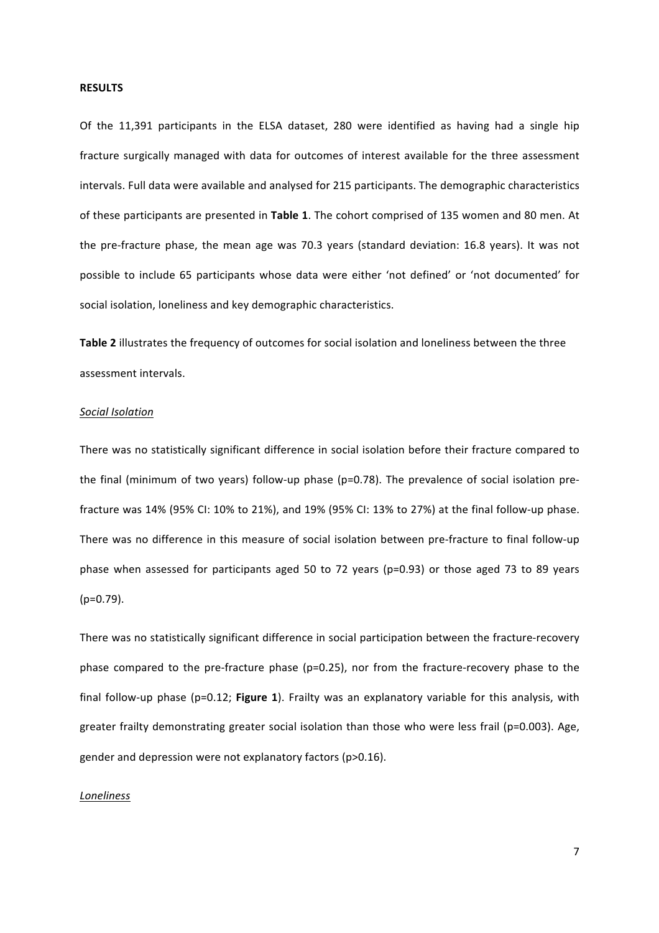#### **RESULTS**

Of the 11,391 participants in the ELSA dataset, 280 were identified as having had a single hip fracture surgically managed with data for outcomes of interest available for the three assessment intervals. Full data were available and analysed for 215 participants. The demographic characteristics of these participants are presented in Table 1. The cohort comprised of 135 women and 80 men. At the pre-fracture phase, the mean age was 70.3 years (standard deviation: 16.8 years). It was not possible to include 65 participants whose data were either 'not defined' or 'not documented' for social isolation, loneliness and key demographic characteristics.

**Table 2** illustrates the frequency of outcomes for social isolation and loneliness between the three assessment intervals.

## *Social Isolation*

There was no statistically significant difference in social isolation before their fracture compared to the final (minimum of two years) follow-up phase  $(p=0.78)$ . The prevalence of social isolation prefracture was  $14\%$  (95% CI: 10% to 21%), and 19% (95% CI: 13% to 27%) at the final follow-up phase. There was no difference in this measure of social isolation between pre-fracture to final follow-up phase when assessed for participants aged 50 to 72 years (p=0.93) or those aged 73 to 89 years (p=0.79).

There was no statistically significant difference in social participation between the fracture-recovery phase compared to the pre-fracture phase  $(p=0.25)$ , nor from the fracture-recovery phase to the final follow-up phase  $(p=0.12;$  **Figure 1**). Frailty was an explanatory variable for this analysis, with greater frailty demonstrating greater social isolation than those who were less frail (p=0.003). Age, gender and depression were not explanatory factors (p>0.16).

## *Loneliness*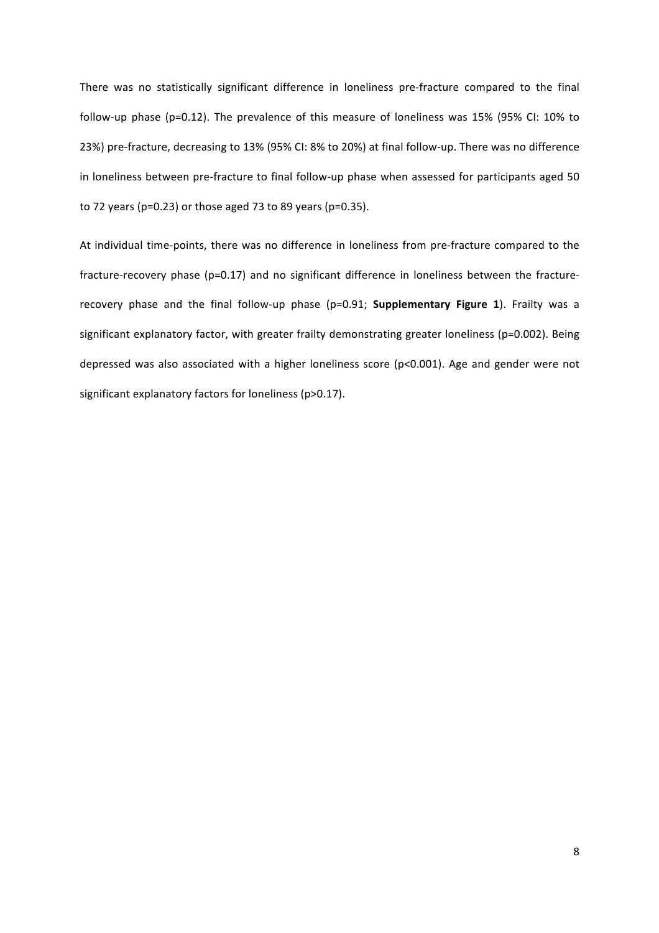There was no statistically significant difference in loneliness pre-fracture compared to the final follow-up phase (p=0.12). The prevalence of this measure of loneliness was 15% (95% CI:  $10\%$  to 23%) pre-fracture, decreasing to 13% (95% CI: 8% to 20%) at final follow-up. There was no difference in loneliness between pre-fracture to final follow-up phase when assessed for participants aged 50 to 72 years (p=0.23) or those aged 73 to 89 years (p=0.35).

At individual time-points, there was no difference in loneliness from pre-fracture compared to the fracture-recovery phase (p=0.17) and no significant difference in loneliness between the fracturerecovery phase and the final follow-up phase (p=0.91; **Supplementary Figure 1**). Frailty was a significant explanatory factor, with greater frailty demonstrating greater loneliness (p=0.002). Being depressed was also associated with a higher loneliness score (p<0.001). Age and gender were not significant explanatory factors for loneliness (p>0.17).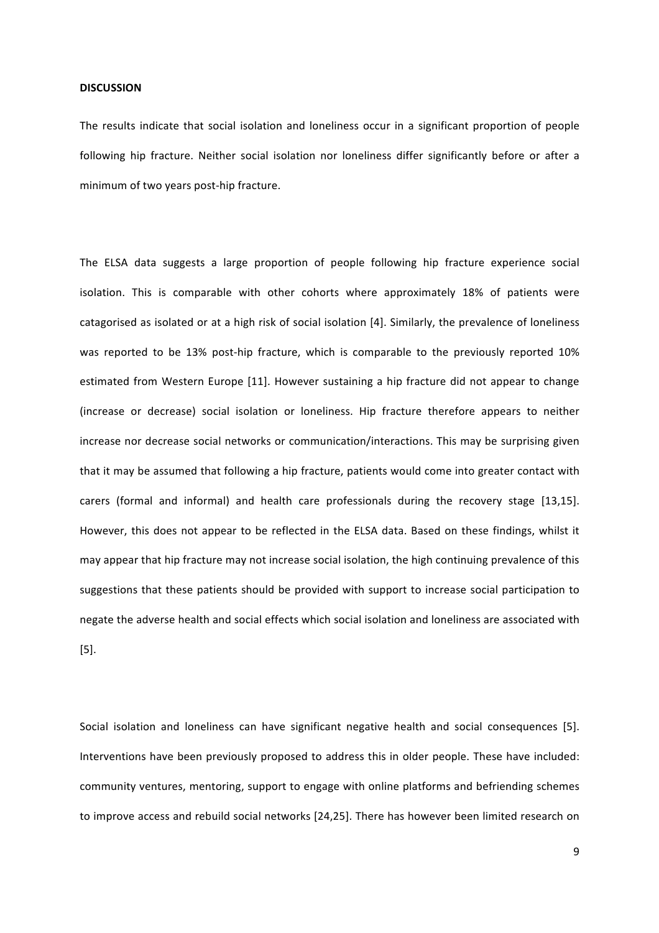#### **DISCUSSION**

The results indicate that social isolation and loneliness occur in a significant proportion of people following hip fracture. Neither social isolation nor loneliness differ significantly before or after a minimum of two years post-hip fracture.

The ELSA data suggests a large proportion of people following hip fracture experience social isolation. This is comparable with other cohorts where approximately 18% of patients were catagorised as isolated or at a high risk of social isolation [4]. Similarly, the prevalence of loneliness was reported to be 13% post-hip fracture, which is comparable to the previously reported 10% estimated from Western Europe [11]. However sustaining a hip fracture did not appear to change (increase or decrease) social isolation or loneliness. Hip fracture therefore appears to neither increase nor decrease social networks or communication/interactions. This may be surprising given that it may be assumed that following a hip fracture, patients would come into greater contact with carers (formal and informal) and health care professionals during the recovery stage [13,15]. However, this does not appear to be reflected in the ELSA data. Based on these findings, whilst it may appear that hip fracture may not increase social isolation, the high continuing prevalence of this suggestions that these patients should be provided with support to increase social participation to negate the adverse health and social effects which social isolation and loneliness are associated with [5].

Social isolation and loneliness can have significant negative health and social consequences [5]. Interventions have been previously proposed to address this in older people. These have included: community ventures, mentoring, support to engage with online platforms and befriending schemes to improve access and rebuild social networks [24,25]. There has however been limited research on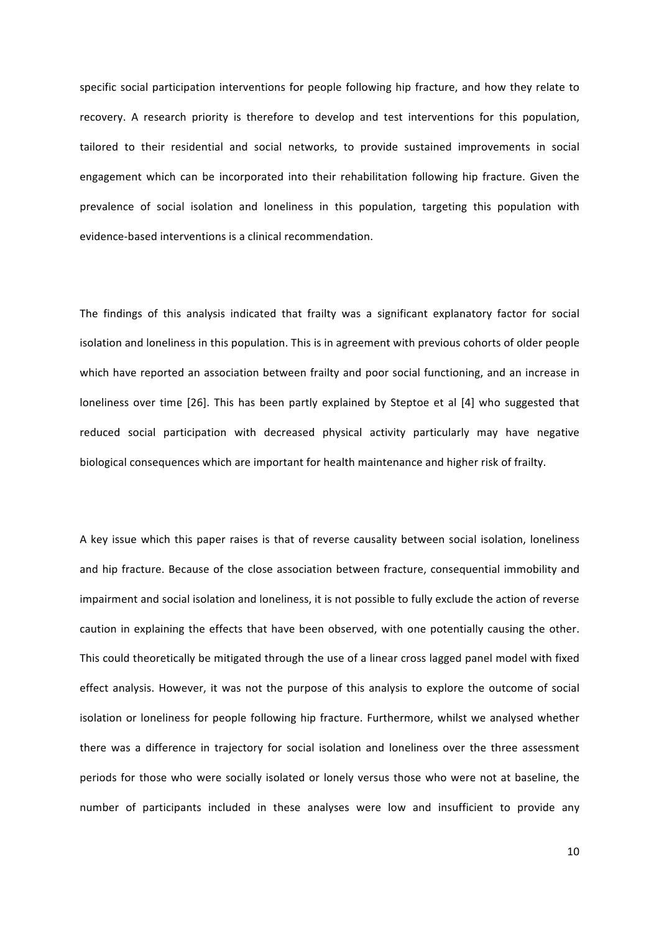specific social participation interventions for people following hip fracture, and how they relate to recovery. A research priority is therefore to develop and test interventions for this population, tailored to their residential and social networks, to provide sustained improvements in social engagement which can be incorporated into their rehabilitation following hip fracture. Given the prevalence of social isolation and loneliness in this population, targeting this population with evidence-based interventions is a clinical recommendation.

The findings of this analysis indicated that frailty was a significant explanatory factor for social isolation and loneliness in this population. This is in agreement with previous cohorts of older people which have reported an association between frailty and poor social functioning, and an increase in loneliness over time [26]. This has been partly explained by Steptoe et al [4] who suggested that reduced social participation with decreased physical activity particularly may have negative biological consequences which are important for health maintenance and higher risk of frailty.

A key issue which this paper raises is that of reverse causality between social isolation, loneliness and hip fracture. Because of the close association between fracture, consequential immobility and impairment and social isolation and loneliness, it is not possible to fully exclude the action of reverse caution in explaining the effects that have been observed, with one potentially causing the other. This could theoretically be mitigated through the use of a linear cross lagged panel model with fixed effect analysis. However, it was not the purpose of this analysis to explore the outcome of social isolation or loneliness for people following hip fracture. Furthermore, whilst we analysed whether there was a difference in trajectory for social isolation and loneliness over the three assessment periods for those who were socially isolated or lonely versus those who were not at baseline, the number of participants included in these analyses were low and insufficient to provide any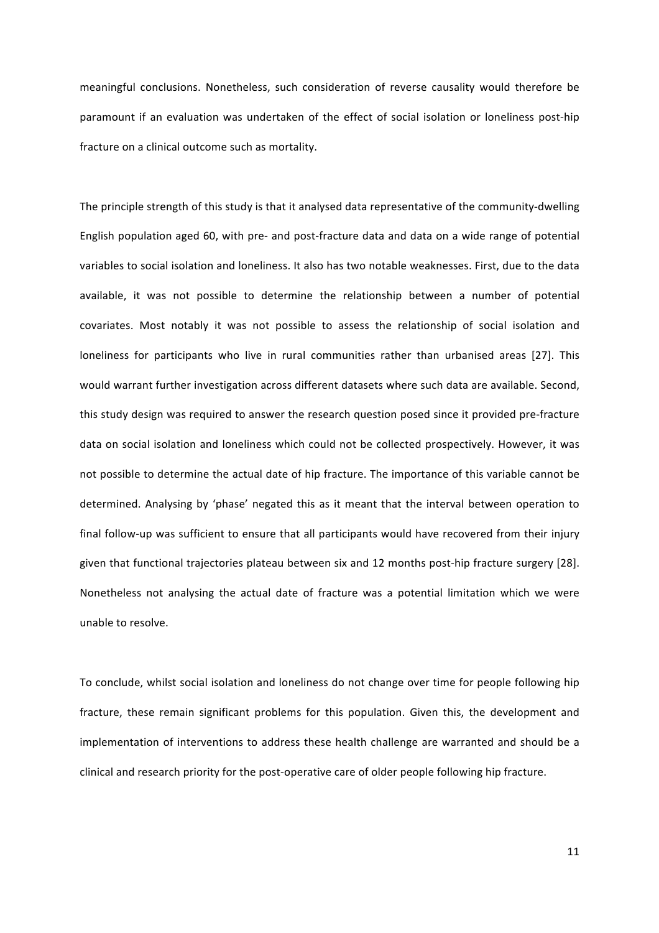meaningful conclusions. Nonetheless, such consideration of reverse causality would therefore be paramount if an evaluation was undertaken of the effect of social isolation or loneliness post-hip fracture on a clinical outcome such as mortality.

The principle strength of this study is that it analysed data representative of the community-dwelling English population aged 60, with pre- and post-fracture data and data on a wide range of potential variables to social isolation and loneliness. It also has two notable weaknesses. First, due to the data available, it was not possible to determine the relationship between a number of potential covariates. Most notably it was not possible to assess the relationship of social isolation and loneliness for participants who live in rural communities rather than urbanised areas [27]. This would warrant further investigation across different datasets where such data are available. Second, this study design was required to answer the research question posed since it provided pre-fracture data on social isolation and loneliness which could not be collected prospectively. However, it was not possible to determine the actual date of hip fracture. The importance of this variable cannot be determined. Analysing by 'phase' negated this as it meant that the interval between operation to final follow-up was sufficient to ensure that all participants would have recovered from their injury given that functional trajectories plateau between six and 12 months post-hip fracture surgery [28]. Nonetheless not analysing the actual date of fracture was a potential limitation which we were unable to resolve.

To conclude, whilst social isolation and loneliness do not change over time for people following hip fracture, these remain significant problems for this population. Given this, the development and implementation of interventions to address these health challenge are warranted and should be a clinical and research priority for the post-operative care of older people following hip fracture.

11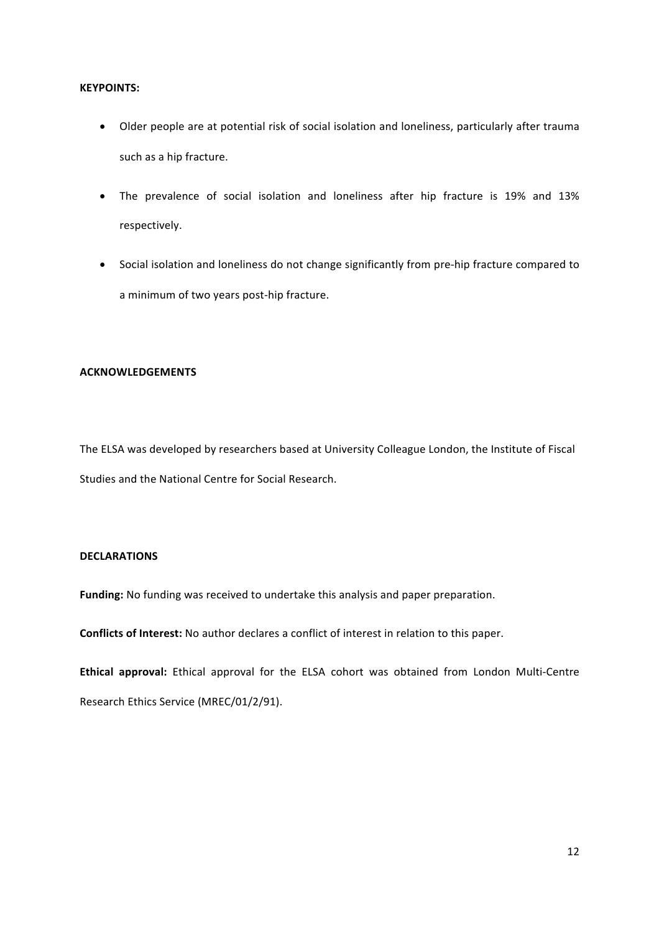# **KEYPOINTS:**

- Older people are at potential risk of social isolation and loneliness, particularly after trauma such as a hip fracture.
- The prevalence of social isolation and loneliness after hip fracture is 19% and 13% respectively.
- Social isolation and loneliness do not change significantly from pre-hip fracture compared to a minimum of two years post-hip fracture.

# **ACKNOWLEDGEMENTS**

The ELSA was developed by researchers based at University Colleague London, the Institute of Fiscal Studies and the National Centre for Social Research.

# **DECLARATIONS**

Funding: No funding was received to undertake this analysis and paper preparation.

**Conflicts of Interest:** No author declares a conflict of interest in relation to this paper.

Ethical approval: Ethical approval for the ELSA cohort was obtained from London Multi-Centre Research Ethics Service (MREC/01/2/91).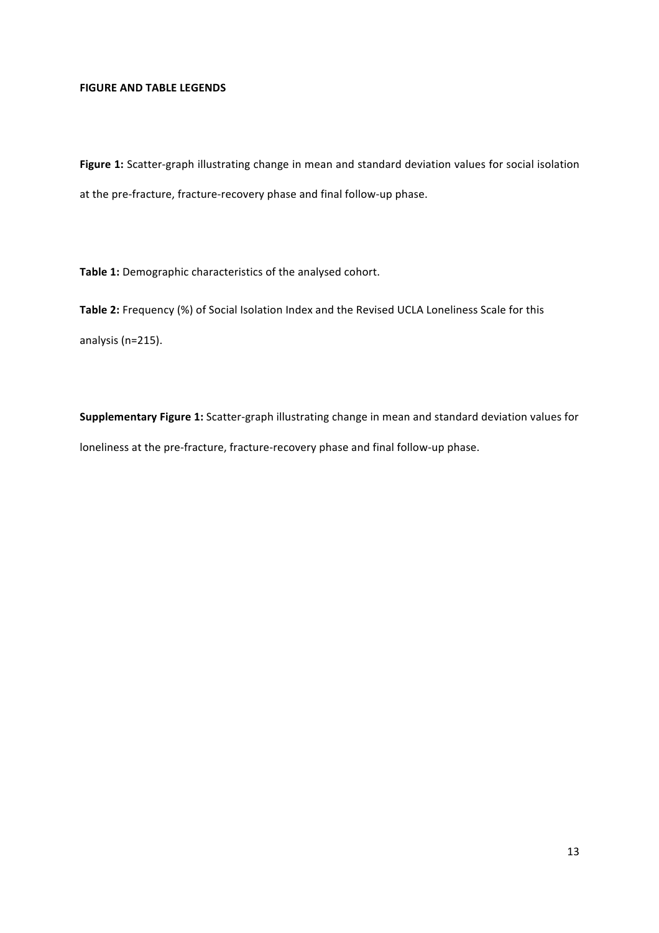# **FIGURE AND TABLE LEGENDS**

Figure 1: Scatter-graph illustrating change in mean and standard deviation values for social isolation at the pre-fracture, fracture-recovery phase and final follow-up phase.

Table 1: Demographic characteristics of the analysed cohort.

Table 2: Frequency (%) of Social Isolation Index and the Revised UCLA Loneliness Scale for this analysis (n=215).

**Supplementary Figure 1:** Scatter-graph illustrating change in mean and standard deviation values for loneliness at the pre-fracture, fracture-recovery phase and final follow-up phase.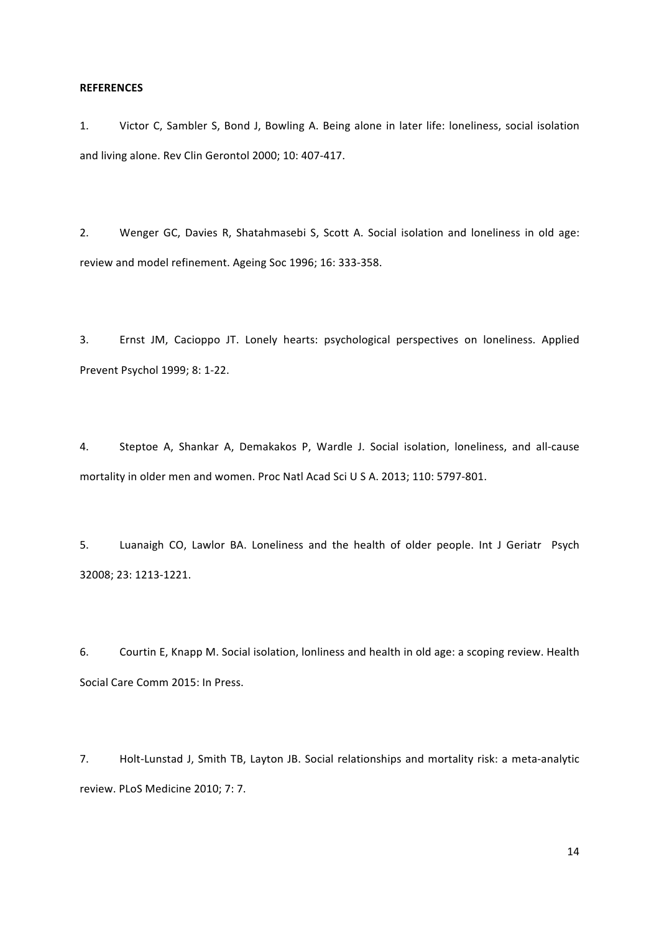# **REFERENCES**

1. Victor C, Sambler S, Bond J, Bowling A. Being alone in later life: loneliness, social isolation and living alone. Rev Clin Gerontol 2000; 10: 407-417.

2. Wenger GC, Davies R, Shatahmasebi S, Scott A. Social isolation and loneliness in old age: review and model refinement. Ageing Soc 1996; 16: 333-358.

3. Ernst JM, Cacioppo JT. Lonely hearts: psychological perspectives on loneliness. Applied Prevent Psychol 1999; 8: 1-22.

4. Steptoe A, Shankar A, Demakakos P, Wardle J. Social isolation, loneliness, and all-cause mortality in older men and women. Proc Natl Acad Sci U S A. 2013; 110: 5797-801.

5. Luanaigh CO, Lawlor BA. Loneliness and the health of older people. Int J Geriatr Psych 32008; 23: 1213-1221.

6. Courtin E, Knapp M. Social isolation, lonliness and health in old age: a scoping review. Health Social Care Comm 2015: In Press.

7. Holt-Lunstad J, Smith TB, Layton JB. Social relationships and mortality risk: a meta-analytic review. PLoS Medicine 2010; 7: 7. 

14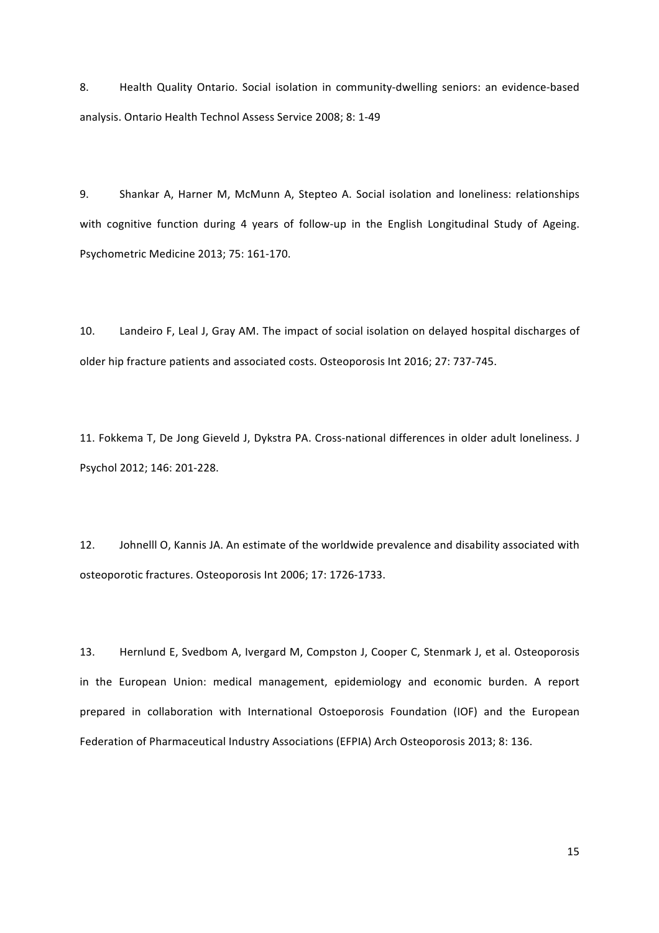8. Health Quality Ontario. Social isolation in community-dwelling seniors: an evidence-based analysis. Ontario Health Technol Assess Service 2008; 8: 1-49

9. Shankar A, Harner M, McMunn A, Stepteo A. Social isolation and loneliness: relationships with cognitive function during 4 years of follow-up in the English Longitudinal Study of Ageing. Psychometric Medicine 2013; 75: 161-170.

10. Landeiro F, Leal J, Gray AM. The impact of social isolation on delayed hospital discharges of older hip fracture patients and associated costs. Osteoporosis Int 2016; 27: 737-745.

11. Fokkema T, De Jong Gieveld J, Dykstra PA. Cross-national differences in older adult loneliness. J Psychol 2012; 146: 201-228.

12. Johnelll O, Kannis JA. An estimate of the worldwide prevalence and disability associated with osteoporotic fractures. Osteoporosis Int 2006; 17: 1726-1733.

13. Hernlund E, Svedbom A, Ivergard M, Compston J, Cooper C, Stenmark J, et al. Osteoporosis in the European Union: medical management, epidemiology and economic burden. A report prepared in collaboration with International Ostoeporosis Foundation (IOF) and the European Federation of Pharmaceutical Industry Associations (EFPIA) Arch Osteoporosis 2013; 8: 136.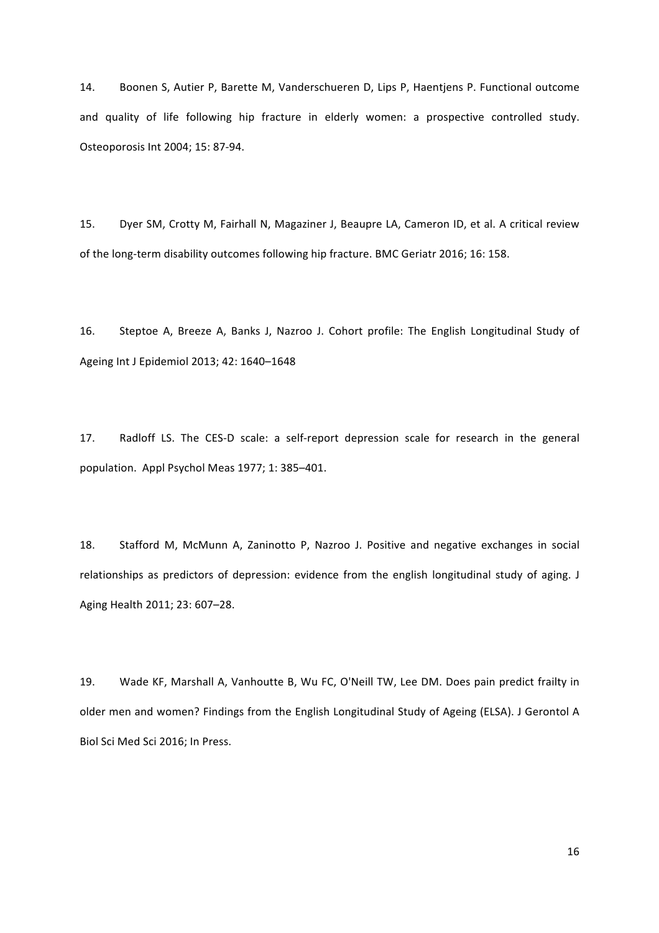14. Boonen S, Autier P, Barette M, Vanderschueren D, Lips P, Haentjens P. Functional outcome and quality of life following hip fracture in elderly women: a prospective controlled study. Osteoporosis Int 2004; 15: 87-94.

15. Dyer SM, Crotty M, Fairhall N, Magaziner J, Beaupre LA, Cameron ID, et al. A critical review of the long-term disability outcomes following hip fracture. BMC Geriatr 2016; 16: 158.

16. Steptoe A, Breeze A, Banks J, Nazroo J. Cohort profile: The English Longitudinal Study of Ageing Int J Epidemiol 2013; 42: 1640-1648

17. Radloff LS. The CES-D scale: a self-report depression scale for research in the general population. Appl Psychol Meas 1977; 1: 385-401.

18. Stafford M, McMunn A, Zaninotto P, Nazroo J. Positive and negative exchanges in social relationships as predictors of depression: evidence from the english longitudinal study of aging. J Aging Health 2011; 23: 607-28.

19. Wade KF, Marshall A, Vanhoutte B, Wu FC, O'Neill TW, Lee DM. Does pain predict frailty in older men and women? Findings from the English Longitudinal Study of Ageing (ELSA). J Gerontol A Biol Sci Med Sci 2016; In Press.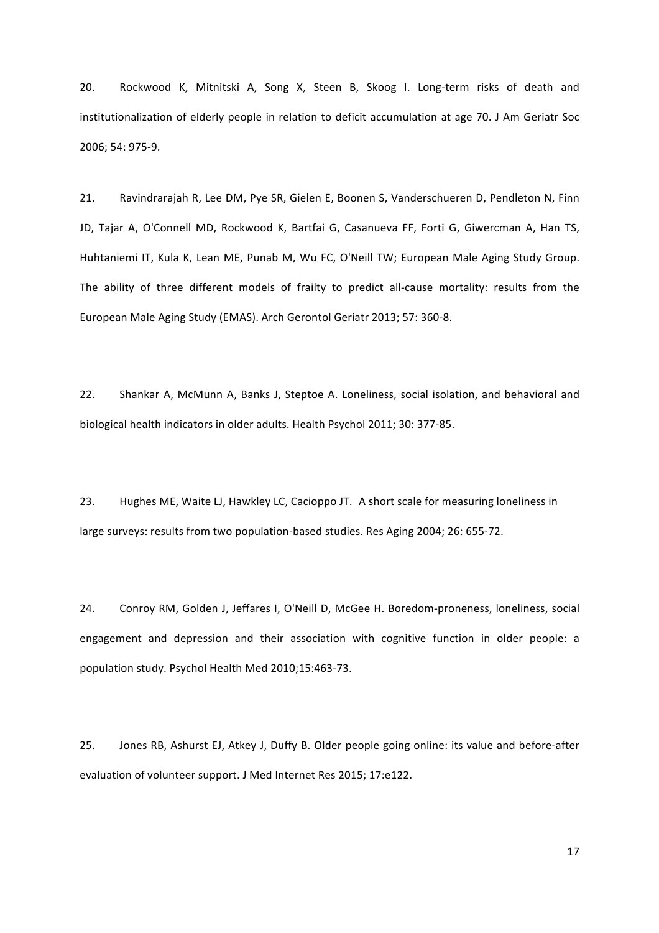20. Rockwood K, Mitnitski A, Song X, Steen B, Skoog I. Long-term risks of death and institutionalization of elderly people in relation to deficit accumulation at age 70. J Am Geriatr Soc 2006; 54: 975-9.

21. Ravindrarajah R, Lee DM, Pye SR, Gielen E, Boonen S, Vanderschueren D, Pendleton N, Finn JD, Tajar A, O'Connell MD, Rockwood K, Bartfai G, Casanueva FF, Forti G, Giwercman A, Han TS, Huhtaniemi IT, Kula K, Lean ME, Punab M, Wu FC, O'Neill TW; European Male Aging Study Group. The ability of three different models of frailty to predict all-cause mortality: results from the European Male Aging Study (EMAS). Arch Gerontol Geriatr 2013; 57: 360-8.

22. Shankar A, McMunn A, Banks J, Steptoe A. Loneliness, social isolation, and behavioral and biological health indicators in older adults. Health Psychol 2011; 30: 377-85.

23. Hughes ME, Waite LJ, Hawkley LC, Cacioppo JT. A short scale for measuring loneliness in large surveys: results from two population-based studies. Res Aging 2004; 26: 655-72.

24. Conroy RM, Golden J, Jeffares I, O'Neill D, McGee H. Boredom-proneness, loneliness, social engagement and depression and their association with cognitive function in older people: a population study. Psychol Health Med 2010;15:463-73.

25. Jones RB, Ashurst EJ, Atkey J, Duffy B. Older people going online: its value and before-after evaluation of volunteer support. J Med Internet Res 2015; 17:e122.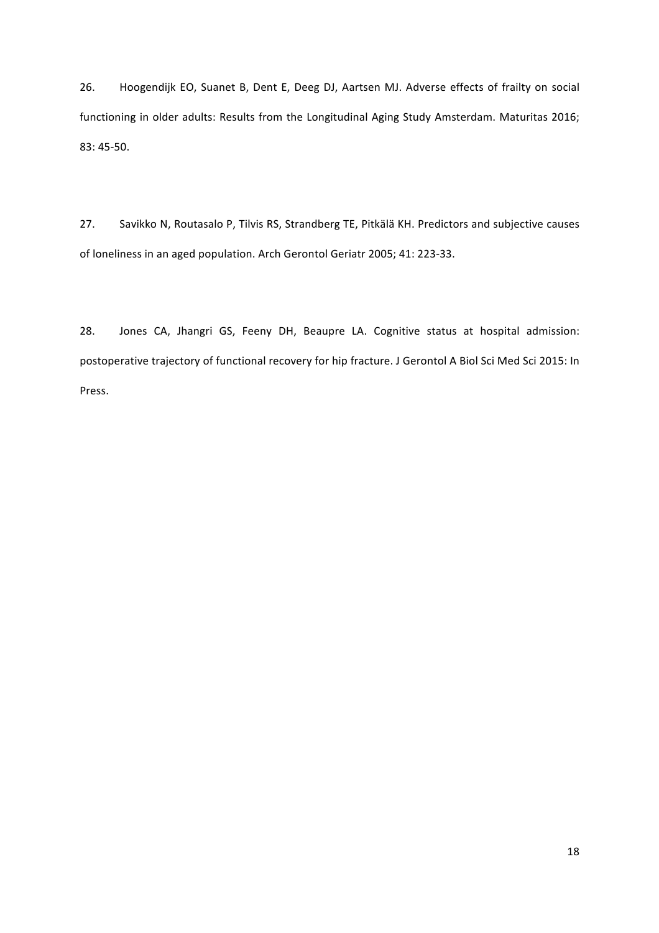26. Hoogendijk EO, Suanet B, Dent E, Deeg DJ, Aartsen MJ. Adverse effects of frailty on social functioning in older adults: Results from the Longitudinal Aging Study Amsterdam. Maturitas 2016; 83: 45-50.

27. Savikko N, Routasalo P, Tilvis RS, Strandberg TE, Pitkälä KH. Predictors and subjective causes of loneliness in an aged population. Arch Gerontol Geriatr 2005; 41: 223-33.

28. Jones CA, Jhangri GS, Feeny DH, Beaupre LA. Cognitive status at hospital admission: postoperative trajectory of functional recovery for hip fracture. J Gerontol A Biol Sci Med Sci 2015: In Press.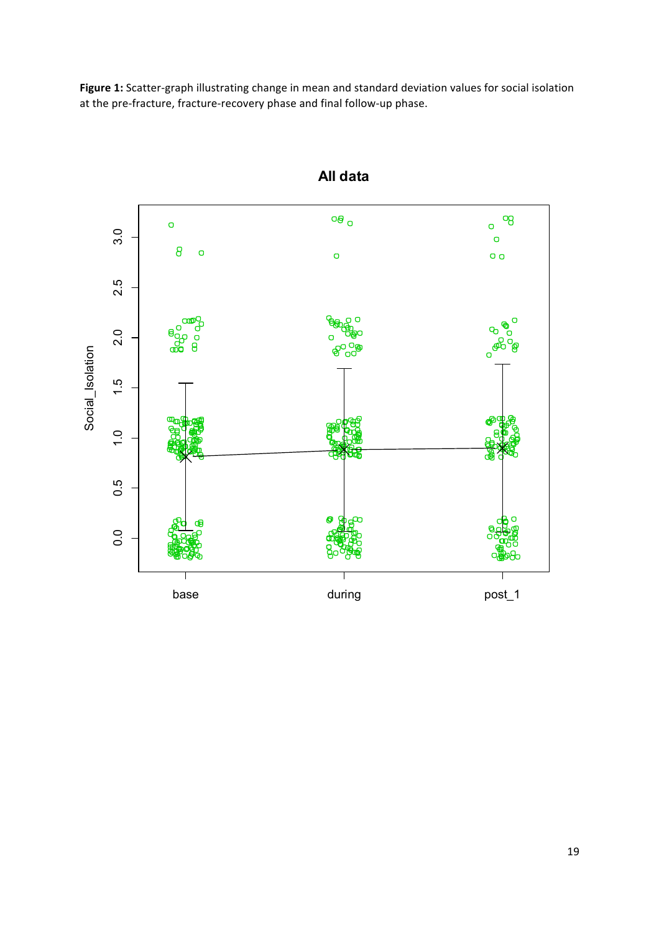Figure 1: Scatter-graph illustrating change in mean and standard deviation values for social isolation at the pre-fracture, fracture-recovery phase and final follow-up phase.



**All data**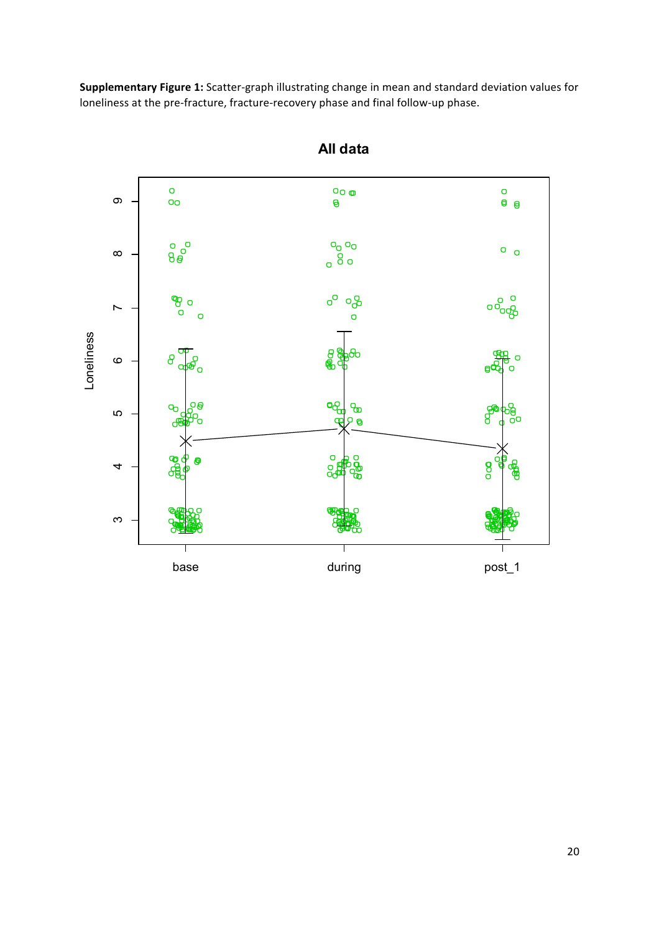**Supplementary Figure 1:** Scatter-graph illustrating change in mean and standard deviation values for loneliness at the pre-fracture, fracture-recovery phase and final follow-up phase.



**All data**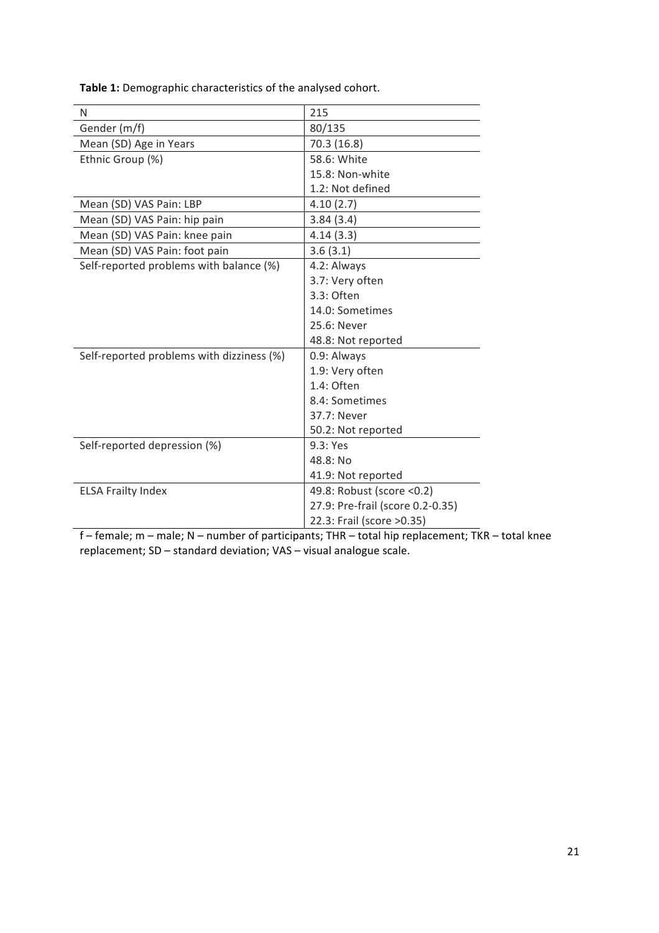| N                                         | 215                              |  |
|-------------------------------------------|----------------------------------|--|
| Gender (m/f)                              | 80/135                           |  |
| Mean (SD) Age in Years                    | 70.3 (16.8)                      |  |
| Ethnic Group (%)                          | 58.6: White                      |  |
|                                           | 15.8: Non-white                  |  |
|                                           | 1.2: Not defined                 |  |
| Mean (SD) VAS Pain: LBP                   | 4.10(2.7)                        |  |
| Mean (SD) VAS Pain: hip pain              | 3.84(3.4)                        |  |
| Mean (SD) VAS Pain: knee pain             | 4.14(3.3)                        |  |
| Mean (SD) VAS Pain: foot pain             | 3.6(3.1)                         |  |
| Self-reported problems with balance (%)   | 4.2: Always                      |  |
|                                           | 3.7: Very often                  |  |
|                                           | 3.3: Often                       |  |
|                                           | 14.0: Sometimes                  |  |
|                                           | 25.6: Never                      |  |
|                                           | 48.8: Not reported               |  |
| Self-reported problems with dizziness (%) | 0.9: Always                      |  |
|                                           | 1.9: Very often                  |  |
|                                           | 1.4: Often                       |  |
|                                           | 8.4: Sometimes                   |  |
|                                           | 37.7: Never                      |  |
|                                           | 50.2: Not reported               |  |
| Self-reported depression (%)              | 9.3: Yes                         |  |
|                                           | 48.8: No                         |  |
|                                           | 41.9: Not reported               |  |
| <b>ELSA Frailty Index</b>                 | 49.8: Robust (score < 0.2)       |  |
|                                           | 27.9: Pre-frail (score 0.2-0.35) |  |
|                                           | 22.3: Frail (score > 0.35)       |  |

Table 1: Demographic characteristics of the analysed cohort.

 $f$  – female;  $m$  – male;  $N$  – number of participants; THR – total hip replacement; TKR – total knee replacement; SD - standard deviation; VAS - visual analogue scale.